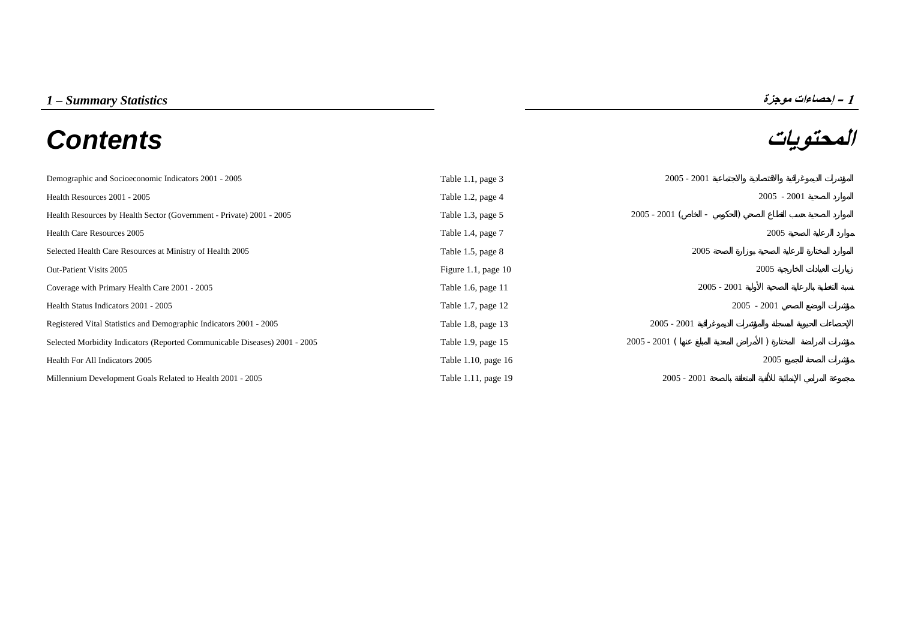# **المحتويات** *Contents*



| Demographic and Socioeconomic Indicators 2001 - 2005                       | Table 1.1, page 3     | $2005 - 2001$                               |               |
|----------------------------------------------------------------------------|-----------------------|---------------------------------------------|---------------|
| Health Resources 2001 - 2005                                               | Table 1.2, page 4     |                                             | $2005 - 2001$ |
| Health Resources by Health Sector (Government - Private) 2001 - 2005       | Table 1.3, page 5     | $2005 - 2001$ (<br>$\overline{\phantom{a}}$ |               |
| <b>Health Care Resources 2005</b>                                          | Table 1.4, page 7     |                                             | 2005          |
| Selected Health Care Resources at Ministry of Health 2005                  | Table 1.5, page 8     | 2005                                        |               |
| Out-Patient Visits 2005                                                    | Figure 1.1, page $10$ |                                             | 2005          |
| Coverage with Primary Health Care 2001 - 2005                              | Table 1.6, page 11    | $2005 - 2001$                               |               |
| Health Status Indicators 2001 - 2005                                       | Table 1.7, page 12    | $2005 - 2001$                               |               |
| Registered Vital Statistics and Demographic Indicators 2001 - 2005         | Table 1.8, page 13    | $2005 - 2001$                               |               |
| Selected Morbidity Indicators (Reported Communicable Diseases) 2001 - 2005 | Table 1.9, page 15    | $2005 - 2001$ (                             |               |
| Health For All Indicators 2005                                             | Table 1.10, page 16   |                                             | 2005          |
| Millennium Development Goals Related to Health 2001 - 2005                 | Table 1.11, page 19   | $2005 - 2001$                               |               |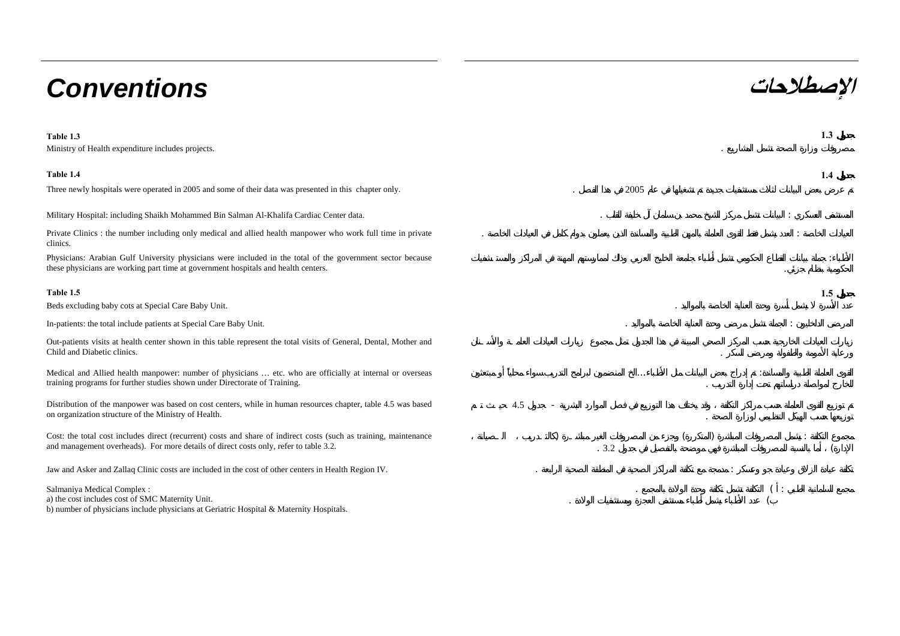# **الإصطلاحات** *Conventions*

**Table 1.3 1.3** Ministry of Health expenditure includes projects. . **Table 1.4 1.4**Three newly hospitals were operated in 2005 and some of their data was presented in this chapter only. 2005 Military Hospital: including Shaikh Mohammed Bin Salman Al-Khalifa Cardiac Center data. . : Private Clinics : the number including only medical and allied health manpower who work full time in private clinics. e a construction of the construction of the construction of the construction of the construction of the construction of the construction of the construction of the construction of the construction of the construction of th Physicians: Arabian Gulf University physicians were included in the total of the government sector because these physicians are working part time at government hospitals and health centers. :**Table 1.5 1.5**Beds excluding baby cots at Special Care Baby Unit. . In-patients: the total include patients at Special Care Baby Unit. . : Out-patients visits at health center shown in this table represent the total visits of General, Dental, Mother and Child and Diabetic clinics.Medical and Allied health manpower: number of physicians … etc. who are officially at internal or overseas training programs for further studies shown under Directorate of Training. ... : . Distribution of the manpower was based on cost centers, while in human resources chapter, table 4.5 was based on organization structure of the Ministry of Health. 4.5 -Cost: the total cost includes direct (recurrent) costs and share of indirect costs (such as training, maintenance and management overheads). For more details of direct costs only, refer to table 3.2. ) and ( ) and ( ) and ( ) are set of  $\left( \begin{array}{c} 1 \end{array} \right)$ .  $3.2$  ( Jaw and Asker and Zallaq Clinic costs are included in the cost of other centers in Health Region IV. Salmaniya Medical Complex : a) the cost includes cost of SMC Maternity Unit. b) number of physicians include physicians at Geriatric Hospital & Maternity Hospitals. ( : . The contract of the contract of  $\overline{\mathcal{C}}$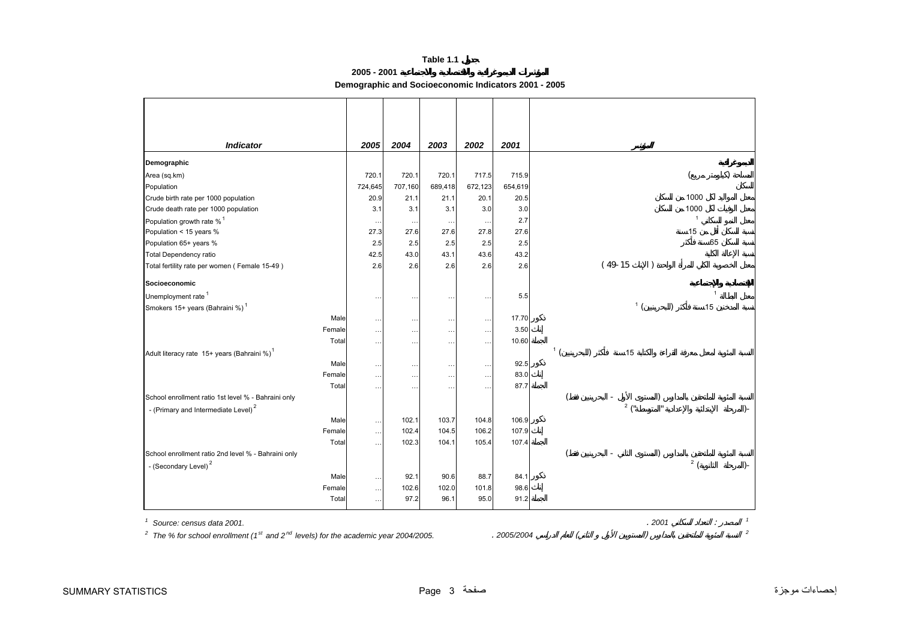**2005 - 2001** 

**Demographic and Socioeconomic Indicators 2001 - 2005**

<span id="page-2-0"></span>

| <b>Indicator</b>                                        |        | 2005      | 2004      | 2003      | 2002     | 2001    |                |           |                 |                |              |
|---------------------------------------------------------|--------|-----------|-----------|-----------|----------|---------|----------------|-----------|-----------------|----------------|--------------|
| Demographic                                             |        |           |           |           |          |         |                |           |                 |                |              |
| Area (sq.km)                                            |        | 720.1     | 720.1     | 720.1     | 717.5    | 715.9   |                |           |                 | (              |              |
| Population                                              |        | 724,645   | 707,160   | 689,418   | 672,123  | 654,619 |                |           |                 |                |              |
| Crude birth rate per 1000 population                    |        | 20.9      | 21.1      | 21.1      | 20.1     | 20.5    |                |           |                 | 1000           |              |
| Crude death rate per 1000 population                    |        | 3.1       | 3.1       | 3.1       | 3.0      | 3.0     |                |           |                 | 1000           |              |
| Population growth rate % <sup>1</sup>                   |        | $\cdot$ . |           | $\cdots$  | $\cdots$ | 2.7     |                |           |                 | $\overline{1}$ |              |
| Population < 15 years %                                 |        | 27.3      | 27.6      | 27.6      | 27.8     | 27.6    |                |           |                 | 15             |              |
| Population 65+ years %                                  |        | 2.5       | 2.5       | 2.5       | 2.5      | 2.5     |                |           |                 | 65             |              |
| <b>Total Dependency ratio</b>                           |        | 42.5      | 43.0      | 43.1      | 43.6     | 43.2    |                |           |                 |                |              |
| Total fertility rate per women (Female 15-49)           |        | 2.6       | 2.6       | 2.6       | 2.6      | 2.6     |                | $(49-15)$ |                 |                |              |
| Socioeconomic                                           |        |           |           |           |          |         |                |           |                 |                |              |
| Unemployment rate <sup>1</sup>                          |        | $\cdots$  | $\ddotsc$ | $\ldots$  | $\cdots$ | 5.5     |                |           |                 | $\mathbf{1}$   |              |
| Smokers 15+ years (Bahraini %) <sup>1</sup>             |        |           |           |           |          |         |                |           | 1(              | 15             |              |
|                                                         | Male   | $\ldots$  | $\cdots$  | $\ddotsc$ | $\cdots$ | 17.70   |                |           |                 |                |              |
|                                                         | Female | $\cdots$  | $\cdots$  | $\ldots$  | $\cdots$ | 3.50    |                |           |                 |                |              |
|                                                         | Total  | $\ddotsc$ | $\cdots$  | $\ldots$  | $\cdots$ | 10.60   |                |           |                 |                |              |
| Adult literacy rate 15+ years (Bahraini %) <sup>1</sup> |        |           |           |           |          |         | 1 <sup>1</sup> |           | 15              |                |              |
|                                                         | Male   | $\ddotsc$ | $\cdots$  | $\ddots$  | $\cdots$ | 92.5    |                |           |                 |                |              |
|                                                         | Female | $\ldots$  | $\ddotsc$ | $\ddotsc$ | $\cdots$ | 83.0    |                |           |                 |                |              |
|                                                         | Total  | $\ldots$  | $\cdots$  | $\ddotsc$ | $\cdots$ | 87.7    |                |           |                 |                |              |
| School enrollment ratio 1st level % - Bahraini only     |        |           |           |           |          |         |                |           |                 |                |              |
| - (Primary and Intermediate Level) <sup>2</sup>         |        |           |           |           |          |         |                |           | $2\binom{n}{ }$ |                | $) -$        |
|                                                         | Male   | $\cdots$  | 102.1     | 103.7     | 104.8    | 106.9   |                |           |                 |                |              |
|                                                         | Female | $\cdots$  | 102.4     | 104.5     | 106.2    | 107.9   |                |           |                 |                |              |
|                                                         | Total  | $\cdots$  | 102.3     | 104.1     | 105.4    | 107.4   |                |           |                 |                |              |
| School enrollment ratio 2nd level % - Bahraini only     |        |           |           |           |          |         |                |           |                 |                |              |
| - (Secondary Level) <sup>2</sup>                        |        |           |           |           |          |         |                |           |                 | 2(             | $) -$        |
|                                                         | Male   | $\ldots$  | 92.1      | 90.6      | 88.7     | 84.1    |                |           |                 |                |              |
|                                                         | Female | $\ddotsc$ | 102.6     | 102.0     | 101.8    | 98.6    |                |           |                 |                |              |
|                                                         | Total  | $\cdots$  | 97.2      | 96.1      | 95.0     | 91.2    |                |           |                 |                |              |
| Source: census data 2001.                               |        |           |           |           |          |         |                |           |                 |                | $\mathbf{1}$ |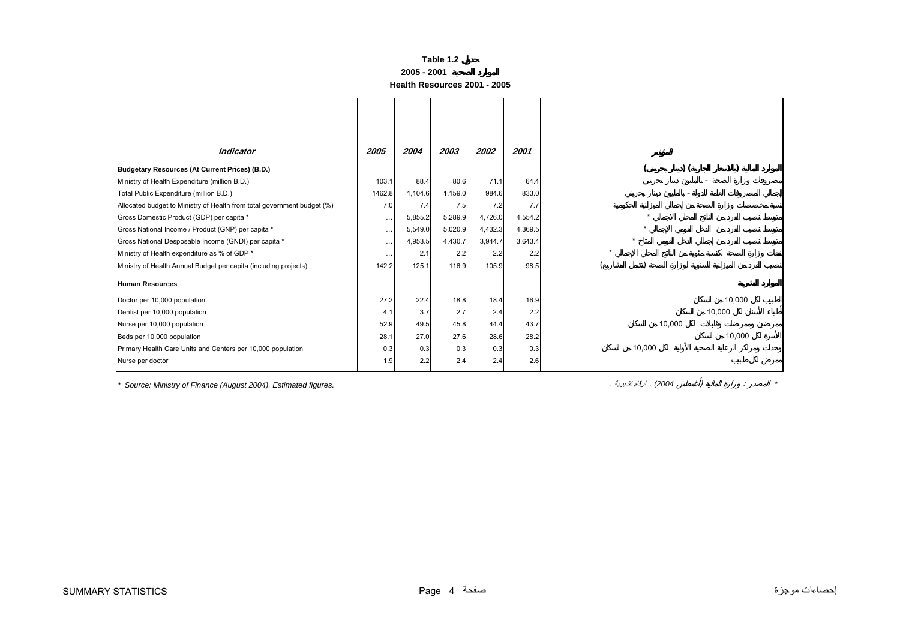#### **2005 - 2001**

**Health Resources 2001 - 2005**

<span id="page-3-0"></span>

| <b>Indicator</b>                                                        | 2005      | 2004    | 2003    | 2002    | 2001    |        |        |
|-------------------------------------------------------------------------|-----------|---------|---------|---------|---------|--------|--------|
| Budgetary Resources (At Current Prices) (B.D.)                          |           |         |         |         |         |        |        |
| Ministry of Health Expenditure (million B.D.)                           | 103.1     | 88.4    | 80.6    | 71.1    | 64.4    |        |        |
| Total Public Expenditure (million B.D.)                                 | 1462.8    | 1,104.6 | 1,159.0 | 984.6   | 833.0   |        |        |
| Allocated budget to Ministry of Health from total government budget (%) | 7.0       | 7.4     | 7.5     | 7.2     | 7.7     |        |        |
| Gross Domestic Product (GDP) per capita *                               | $\cdots$  | 5,855.2 | 5,289.9 | 4,726.0 | 4,554.2 |        |        |
| Gross National Income / Product (GNP) per capita *                      | $\cdots$  | 5,549.0 | 5,020.9 | 4,432.3 | 4,369.5 |        |        |
| Gross National Desposable Income (GNDI) per capita *                    | $\cdots$  | 4,953.5 | 4,430.7 | 3,944.7 | 3,643.4 |        |        |
| Ministry of Health expenditure as % of GDP *                            | $\ddotsc$ | 2.1     | 2.2     | 2.2     | 2.2     |        |        |
| Ministry of Health Annual Budget per capita (including projects)        | 142.2     | 125.1   | 116.9   | 105.9   | 98.5    |        |        |
| <b>Human Resources</b>                                                  |           |         |         |         |         |        |        |
| Doctor per 10,000 population                                            | 27.2      | 22.4    | 18.8    | 18.4    | 16.9    |        | 10,000 |
| Dentist per 10,000 population                                           | 4.1       | 3.7     | 2.7     | 2.4     | 2.2     |        | 10,000 |
| Nurse per 10,000 population                                             | 52.9      | 49.5    | 45.8    | 44.4    | 43.7    | 10,000 |        |
| Beds per 10,000 population                                              | 28.1      | 27.0    | 27.6    | 28.6    | 28.2    |        | 10,000 |
| Primary Health Care Units and Centers per 10,000 population             | 0.3       | 0.3     | 0.3     | 0.3     | 0.3     | 10,000 |        |
| Nurse per doctor                                                        | 1.9       | 2.2     | 2.4     | 2.4     | 2.6     |        |        |

*\* Source: Ministry of Finance (August 2004). Estimated figures. .* تقديرية أرقام *.) 2004* ( :*\**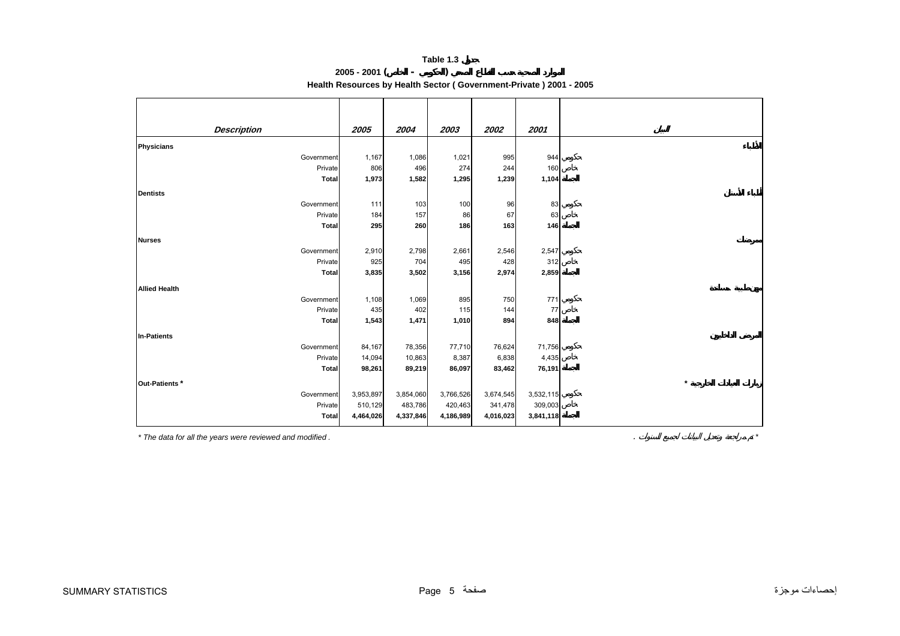## **2005 - 2001 ( - ) Health Resources by Health Sector ( Government-Private ) 2001 - 2005**

<span id="page-4-0"></span>

| <b>Description</b>   | 2005      | 2004      | 2003      | 2002      | 2001      |
|----------------------|-----------|-----------|-----------|-----------|-----------|
|                      |           |           |           |           |           |
| Physicians           |           |           |           |           |           |
| Government           | 1,167     | 1,086     | 1,021     | 995       | 944       |
| Private              | 806       | 496       | 274       | 244       | 160       |
| <b>Total</b>         | 1,973     | 1,582     | 1,295     | 1,239     | 1,104     |
| <b>Dentists</b>      |           |           |           |           |           |
| Government           | 111       | 103       | 100       | 96        | 83        |
| Private              | 184       | 157       | 86        | 67        | 63        |
| <b>Total</b>         | 295       | 260       | 186       | 163       | 146       |
|                      |           |           |           |           |           |
| <b>Nurses</b>        |           |           |           |           |           |
| Government           | 2,910     | 2,798     | 2,661     | 2,546     | 2,547     |
| Private              | 925       | 704       | 495       | 428       | 312       |
| <b>Total</b>         | 3,835     | 3,502     | 3,156     | 2,974     | 2,859     |
| <b>Allied Health</b> |           |           |           |           |           |
| Government           | 1,108     | 1,069     | 895       | 750       | 771       |
| Private              | 435       | 402       | 115       | 144       | 77        |
| <b>Total</b>         | 1,543     | 1,471     | 1,010     | 894       | 848       |
|                      |           |           |           |           |           |
| In-Patients          |           |           |           |           |           |
| Government           | 84,167    | 78,356    | 77,710    | 76,624    | 71,756    |
| Private              | 14,094    | 10,863    | 8,387     | 6,838     | 4,435     |
| <b>Total</b>         | 98,261    | 89,219    | 86,097    | 83,462    | 76,191    |
| Out-Patients *       |           |           |           |           |           |
| Government           | 3,953,897 | 3,854,060 | 3,766,526 | 3,674,545 | 3,532,115 |
| Private              | 510,129   | 483,786   | 420,463   | 341,478   | 309,003   |
| Total                | 4,464,026 | 4,337,846 | 4,186,989 | 4,016,023 | 3,841,118 |
|                      |           |           |           |           |           |

*\* The data for all the years were reviewed and modified .* . *\**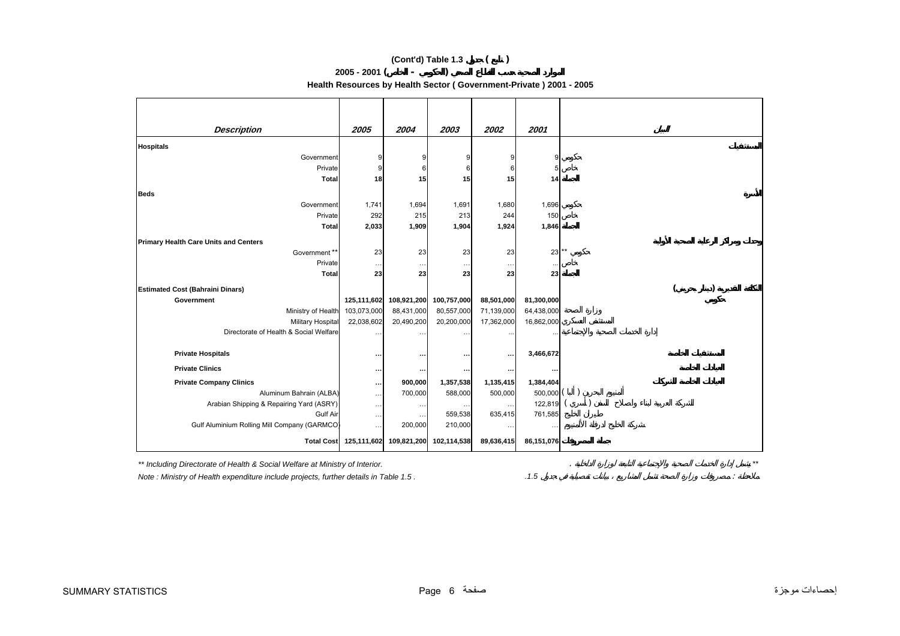## **(Cont'd) Table 1.3 ( )**

## **2005 - 2001 ( - )**

**Health Resources by Health Sector ( Government-Private ) 2001 - 2005**

| <b>Description</b>                           | 2005        | 2004        | 2003                    | 2002       | 2001       |       |
|----------------------------------------------|-------------|-------------|-------------------------|------------|------------|-------|
|                                              |             |             |                         |            |            |       |
| <b>Hospitals</b>                             |             |             |                         |            |            |       |
| Government                                   | 9           | 9           |                         | 9          | 9          |       |
| Private                                      | 9           | 6           |                         | 6          | 5          |       |
| <b>Total</b>                                 | 18          | 15          | 15                      | 15         | 14         |       |
| <b>Beds</b>                                  |             |             |                         |            |            |       |
| Government                                   | 1,741       | 1,694       | 1,691                   | 1,680      | 1,696      |       |
| Private                                      | 292         | 215         | 213                     | 244        | 150        |       |
| <b>Total</b>                                 | 2,033       | 1,909       | 1,904                   | 1,924      | 1,846      |       |
| <b>Primary Health Care Units and Centers</b> |             |             |                         |            |            |       |
| Government**                                 | 23          | 23          | 23                      | 23         | 23         | $***$ |
| Private                                      | $\cdots$    | $\cdots$    | $\cdots$                | $\cdots$   |            |       |
| <b>Total</b>                                 | 23          | 23          | 23                      | 23         | 23         |       |
| <b>Estimated Cost (Bahraini Dinars)</b>      |             |             |                         |            |            |       |
| Government                                   | 125,111,602 | 108,921,200 | 100,757,000             | 88,501,000 | 81,300,000 |       |
| Ministry of Health                           | 103,073,000 | 88,431,000  | 80,557,000              | 71,139,000 | 64,438,000 |       |
| Military Hospital                            | 22,038,602  | 20,490,200  | 20,200,000              | 17,362,000 | 16,862,000 |       |
| Directorate of Health & Social Welfare       |             |             |                         |            |            |       |
|                                              |             |             | $\cdots$                | $\ddotsc$  |            |       |
| <b>Private Hospitals</b>                     | $\cdots$    |             |                         | $\cdots$   | 3,466,672  |       |
| <b>Private Clinics</b>                       |             | $\cdots$    | $\cdots$                | $\cdots$   |            |       |
| <b>Private Company Clinics</b>               |             | 900,000     | 1,357,538               | 1,135,415  | 1,384,404  |       |
| Aluminum Bahrain (ALBA)                      | $\cdots$    | 700,000     | 588,000                 | 500,000    | 500,000    |       |
| Arabian Shipping & Repairing Yard (ASRY)     | $\cdots$    | $\cdots$    | $\cdots$                | $\cdots$   | 122,819    |       |
| Gulf Air                                     | $\cdots$    | $\cdots$    | 559,538                 | 635,415    | 761,585    |       |
| Gulf Aluminium Rolling Mill Company (GARMCO) | $\cdots$    | 200,000     | 210,000                 | $\cdots$   |            |       |
| <b>Total Cost</b>                            | 125,111,602 |             | 109,821,200 102,114,538 | 89,636,415 | 86,151,076 |       |

*\*\* Including Directorate of Health & Social Welfare at Ministry of Interior.* . *\*\**

*Note : Ministry of Health expenditure include projects, further details in Table 1.5 . .1.5* :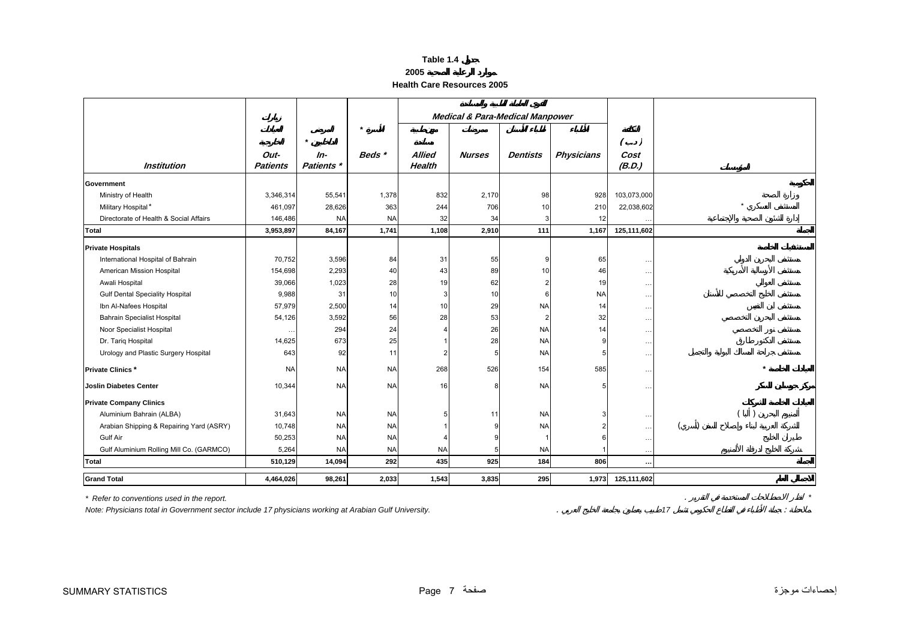## **2005**

#### **Health Care Resources 2005**

<span id="page-6-0"></span>

|                                          |                 |            |           | <b>Medical &amp; Para-Medical Manpower</b> |               |                 |                   |               |         |
|------------------------------------------|-----------------|------------|-----------|--------------------------------------------|---------------|-----------------|-------------------|---------------|---------|
|                                          |                 |            | $\star$   |                                            |               |                 |                   |               |         |
|                                          |                 | $\star$    |           |                                            |               |                 |                   | $( \cdot )$   |         |
|                                          | Out-            | $In-$      | Beds *    | <b>Allied</b>                              | <b>Nurses</b> | <b>Dentists</b> | <b>Physicians</b> | Cost          |         |
| <b>Institution</b>                       | <b>Patients</b> | Patients * |           | <b>Health</b>                              |               |                 |                   | (B.D.)        |         |
| Government                               |                 |            |           |                                            |               |                 |                   |               |         |
| Ministry of Health                       | 3,346,314       | 55,541     | 1,378     | 832                                        | 2,170         | 98              | 928               | 103,073,000   |         |
| Military Hospital*                       | 461,097         | 28,626     | 363       | 244                                        | 706           | 10              | 210               | 22,038,602    | $\star$ |
| Directorate of Health & Social Affairs   | 146,486         | <b>NA</b>  | <b>NA</b> | 32                                         | 34            | 3               | 12                |               |         |
| <b>Total</b>                             | 3,953,897       | 84,167     | 1,741     | 1,108                                      | 2,910         | 111             | 1,167             | 125,111,602   |         |
| <b>Private Hospitals</b>                 |                 |            |           |                                            |               |                 |                   |               |         |
| International Hospital of Bahrain        | 70,752          | 3,596      | 84        | 31                                         | 55            | 9               | 65                | $\cdots$      |         |
| American Mission Hospital                | 154,698         | 2,293      | 40        | 43                                         | 89            | 10              | 46                | $\sim$ $\sim$ |         |
| Awali Hospital                           | 39,066          | 1,023      | 28        | 19                                         | 62            |                 | 19                | $\ddotsc$     |         |
| <b>Gulf Dental Speciality Hospital</b>   | 9,988           | 31         | 10        | 3                                          | 10            | 6               | <b>NA</b>         | $\cdots$      |         |
| Ibn Al-Nafees Hospital                   | 57,979          | 2,500      | 14        | 10                                         | 29            | <b>NA</b>       | 14                | $\ldots$      |         |
| <b>Bahrain Specialist Hospital</b>       | 54,126          | 3,592      | 56        | 28                                         | 53            | $\overline{2}$  | 32                | $\ldots$      |         |
| Noor Specialist Hospital                 | $\cdots$        | 294        | 24        |                                            | 26            | <b>NA</b>       | 14                | $\ddotsc$     |         |
| Dr. Tariq Hospital                       | 14,625          | 673        | 25        |                                            | 28            | <b>NA</b>       |                   | $\ldots$      |         |
| Urology and Plastic Surgery Hospital     | 643             | 92         | 11        |                                            | 5             | <b>NA</b>       |                   | $\ddotsc$     |         |
| <b>Private Clinics*</b>                  | <b>NA</b>       | <b>NA</b>  | <b>NA</b> | 268                                        | 526           | 154             | 585               | $\ddotsc$     |         |
| <b>Joslin Diabetes Center</b>            | 10,344          | <b>NA</b>  | <b>NA</b> | 16                                         | 8             | <b>NA</b>       |                   | $\ddotsc$     |         |
| <b>Private Company Clinics</b>           |                 |            |           |                                            |               |                 |                   |               |         |
| Aluminium Bahrain (ALBA)                 | 31,643          | <b>NA</b>  | <b>NA</b> |                                            | 11            | <b>NA</b>       |                   | $\ldots$      |         |
| Arabian Shipping & Repairing Yard (ASRY) | 10,748          | <b>NA</b>  | <b>NA</b> |                                            | c             | <b>NA</b>       |                   | $\ldots$      |         |
| Gulf Air                                 | 50,253          | <b>NA</b>  | <b>NA</b> |                                            |               |                 |                   | $\ddotsc$     |         |
| Gulf Aluminium Rolling Mill Co. (GARMCO) | 5,264           | <b>NA</b>  | <b>NA</b> | <b>NA</b>                                  | 5             | <b>NA</b>       |                   | $\cdot$ .     |         |
| Total                                    | 510,129         | 14,094     | 292       | 435                                        | 925           | 184             | 806               | $\ddotsc$     |         |
| <b>Grand Total</b>                       | 4,464,026       | 98,261     | 2,033     | 1,543                                      | 3,835         | 295             | 1,973             | 125,111,602   |         |

*\* Refer to conventions used in the report.* . *\**

*Note: Physicians total in Government sector include 17 physicians working at Arabian Gulf University.* . *17* :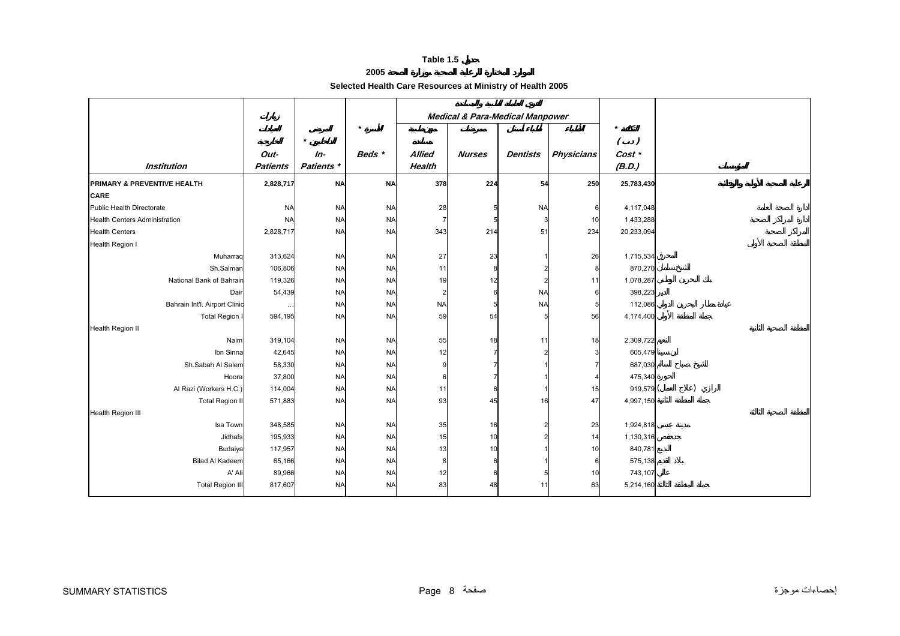**2005** 

## **Selected Health Care Resources at Ministry of Health 2005**

<span id="page-7-0"></span>

|                                        |                         |                     |           | <b>Medical &amp; Para-Medical Manpower</b> |               |                 |                   |                        |  |
|----------------------------------------|-------------------------|---------------------|-----------|--------------------------------------------|---------------|-----------------|-------------------|------------------------|--|
|                                        |                         | $\star$             | $\star$   |                                            |               |                 |                   | $\star$<br>$( \cdot )$ |  |
| <b>Institution</b>                     | Out-<br><b>Patients</b> | $In-$<br>Patients * | Beds *    | <b>Allied</b><br>Health                    | <b>Nurses</b> | <b>Dentists</b> | <b>Physicians</b> | Cost *<br>(B.D.)       |  |
| <b>PRIMARY &amp; PREVENTIVE HEALTH</b> | 2,828,717               | <b>NA</b>           | <b>NA</b> | 378                                        | 224           | 54              | 250               | 25,783,430             |  |
| <b>CARE</b>                            |                         |                     |           |                                            |               |                 |                   |                        |  |
| <b>Public Health Directorate</b>       | <b>NA</b>               | <b>NA</b>           | <b>NA</b> | 28                                         |               | <b>NA</b>       | 6                 | 4,117,048              |  |
| <b>Health Centers Administration</b>   | <b>NA</b>               | <b>NA</b>           | <b>NA</b> |                                            |               |                 | 10                | 1,433,288              |  |
| <b>Health Centers</b>                  | 2,828,717               | <b>NA</b>           | <b>NA</b> | 343                                        | 214           | 51              | 234               | 20,233,094             |  |
| Health Region I                        |                         |                     |           |                                            |               |                 |                   |                        |  |
| Muharraq                               | 313,624                 | <b>NA</b>           | <b>NA</b> | 27                                         | 23            |                 | 26                | 1,715,534              |  |
| Sh.Salman                              | 106,806                 | <b>NA</b>           | <b>NA</b> | 11                                         | 8             |                 | 8                 | 870,270                |  |
| National Bank of Bahrain               | 119,326                 | <b>NA</b>           | <b>NA</b> | 19                                         | 12            |                 | 11                | 1,078,287              |  |
| Dair                                   | 54,439                  | <b>NA</b>           | <b>NA</b> |                                            |               | <b>NA</b>       | 6                 | 398,223                |  |
| Bahrain Int'l. Airport Clinic          |                         | <b>NA</b>           | <b>NA</b> | <b>NA</b>                                  |               | <b>NA</b>       | 5                 | 112,086                |  |
| <b>Total Region I</b>                  | 594,195                 | <b>NA</b>           | <b>NA</b> | 59                                         | 54            |                 | 56                | 4,174,400              |  |
| Health Region II                       |                         |                     |           |                                            |               |                 |                   |                        |  |
| Naim                                   | 319,104                 | <b>NA</b>           | <b>NA</b> | 55                                         | 18            | 11              | 18                | 2,309,722              |  |
| Ibn Sinna                              | 42,645                  | <b>NA</b>           | <b>NA</b> | 12                                         |               |                 | 3                 | 605,479                |  |
| Sh.Sabah Al Salem                      | 58,330                  | <b>NA</b>           | <b>NA</b> |                                            |               |                 |                   | 687,030                |  |
| Hoora                                  | 37,800                  | <b>NA</b>           | <b>NA</b> |                                            |               |                 |                   | 475,340                |  |
| Al Razi (Workers H.C.)                 | 114,004                 | <b>NA</b>           | <b>NA</b> | 11                                         |               |                 | 15                | 919,579 (              |  |
| <b>Total Region II</b>                 | 571,883                 | <b>NA</b>           | <b>NA</b> | 93                                         | 45            | 16              | 47                | 4,997,150              |  |
| <b>Health Region III</b>               |                         |                     |           |                                            |               |                 |                   |                        |  |
| Isa Town                               | 348,585                 | <b>NA</b>           | <b>NA</b> | 35                                         | 16            |                 | 23                | 1,924,818              |  |
| Jidhafs                                | 195,933                 | <b>NA</b>           | <b>NA</b> | 15                                         | 10            |                 | 14                | 1,130,316              |  |
| Budaiya                                | 117,957                 | <b>NA</b>           | <b>NA</b> | 13                                         | 10            |                 | 10                | 840,781                |  |
| <b>Bilad Al Kadeem</b>                 | 65,166                  | <b>NA</b>           | <b>NA</b> |                                            |               |                 | 6                 | 575,138                |  |
| A' Ali                                 | 89,966                  | <b>NA</b>           | <b>NA</b> | 12                                         | 6             |                 | 10                | 743,107                |  |
| <b>Total Region III</b>                | 817,607                 | <b>NA</b>           | <b>NA</b> | 83                                         | 48            | 11              | 63                | 5,214,160              |  |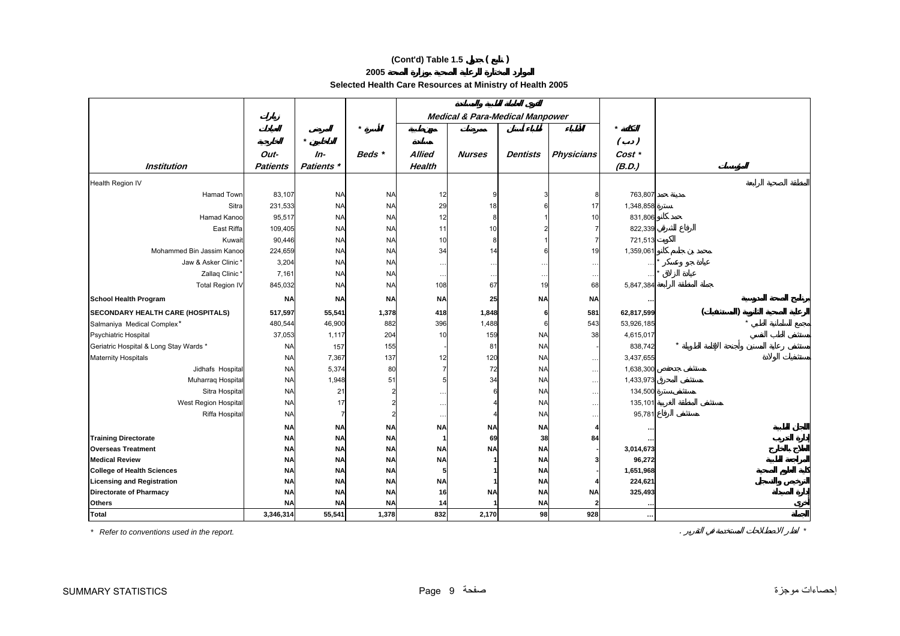## **(Cont'd) Table 1.5 ( )**

**2005** 

**Selected Health Care Resources at Ministry of Health 2005** 

|                                          |                 |            |           |                      |               | <b>Medical &amp; Para-Medical Manpower</b> |                      |            |  |
|------------------------------------------|-----------------|------------|-----------|----------------------|---------------|--------------------------------------------|----------------------|------------|--|
|                                          |                 |            | $\star$   |                      |               |                                            |                      |            |  |
|                                          |                 | $\star$    |           |                      |               |                                            |                      | $($ .)     |  |
|                                          | Out-            |            | Beds *    | <b>Allied</b>        | <b>Nurses</b> |                                            |                      |            |  |
|                                          |                 | In-        |           |                      |               | <b>Dentists</b>                            | <b>Physicians</b>    | Cost *     |  |
| <b>Institution</b>                       | <b>Patients</b> | Patients * |           | Health               |               |                                            |                      | (B.D.)     |  |
| Health Region IV                         |                 |            |           |                      |               |                                            |                      |            |  |
| Hamad Town                               | 83,107          | <b>NA</b>  | <b>NA</b> | 12                   | 9             |                                            |                      | 763,807    |  |
| Sitra                                    | 231,533         | <b>NA</b>  | <b>NA</b> | 29                   | 18            |                                            | 17                   | 1,348,858  |  |
| Hamad Kanoo                              | 95,517          | <b>NA</b>  | <b>NA</b> | 12                   | 8             |                                            | 10                   | 831,806    |  |
| East Riffa                               | 109,405         | <b>NA</b>  | <b>NA</b> | 11                   | 10            |                                            |                      | 822,339    |  |
| Kuwait                                   | 90,446          | <b>NA</b>  | <b>NA</b> | 10                   | 8             |                                            |                      | 721,513    |  |
| Mohammed Bin Jassim Kanoo                | 224,659         | <b>NA</b>  | <b>NA</b> | 34                   | 14            |                                            | 19                   | 1,359,061  |  |
| Jaw & Asker Clinic                       | 3,204           | <b>NA</b>  | <b>NA</b> | $\ddotsc$            |               | $\ddotsc$                                  | $\ddot{\phantom{0}}$ |            |  |
| Zallaq Clinic                            | 7,161           | <b>NA</b>  | <b>NA</b> | $\ddotsc$            |               | $\ddotsc$                                  | $\ddot{\phantom{0}}$ |            |  |
| <b>Total Region IV</b>                   | 845,032         | <b>NA</b>  | <b>NA</b> | 108                  | 67            | 19                                         | 68                   | 5,847,384  |  |
| <b>School Health Program</b>             | <b>NA</b>       | <b>NA</b>  | <b>NA</b> | <b>NA</b>            | 25            | <b>NA</b>                                  | <b>NA</b>            |            |  |
| <b>SECONDARY HEALTH CARE (HOSPITALS)</b> | 517,597         | 55,541     | 1,378     | 418                  | 1,848         | 6                                          | 581                  | 62,817,599 |  |
| Salmaniya Medical Complex*               | 480,544         | 46,900     | 882       | 396                  | 1,488         |                                            | 543                  | 53,926,185 |  |
| Psychiatric Hospital                     | 37,053          | 1,117      | 204       | 10                   | 159           | <b>NA</b>                                  | 38                   | 4,615,017  |  |
| Geriatric Hospital & Long Stay Wards *   | <b>NA</b>       | 157        | 155       |                      | 81            | <b>NA</b>                                  |                      | 838,742    |  |
| <b>Maternity Hospitals</b>               | <b>NA</b>       | 7,367      | 137       | 12                   | 120           | <b>NA</b>                                  | $\ddotsc$            | 3,437,655  |  |
| Jidhafs Hospital                         | <b>NA</b>       | 5,374      | 80        |                      | 72            | <b>NA</b>                                  | $\cdots$             | 1,638,300  |  |
| Muharraq Hospital                        | <b>NA</b>       | 1,948      | 51        |                      | 34            | <b>NA</b>                                  | $\cdots$             | 1,433,973  |  |
| Sitra Hospital                           | <b>NA</b>       | 21         |           | $\ldots$             |               | <b>NA</b>                                  | $\cdots$             | 134,500    |  |
| West Region Hospital                     | <b>NA</b>       | 17         |           | $\cdot$ .            |               | <b>NA</b>                                  | $\ddotsc$            | 135,101    |  |
| Riffa Hospital                           | <b>NA</b>       |            |           | $\ddot{\phantom{0}}$ |               | <b>NA</b>                                  |                      | 95,781     |  |
|                                          | <b>NA</b>       | <b>NA</b>  | <b>NA</b> | <b>NA</b>            | <b>NA</b>     | <b>NA</b>                                  |                      |            |  |
| <b>Training Directorate</b>              | <b>NA</b>       | <b>NA</b>  | <b>NA</b> |                      | 69            | 38                                         | 84                   |            |  |
| <b>Overseas Treatment</b>                | <b>NA</b>       | <b>NA</b>  | <b>NA</b> | <b>NA</b>            | <b>NA</b>     | <b>NA</b>                                  |                      | 3,014,673  |  |
| <b>Medical Review</b>                    | <b>NA</b>       | <b>NA</b>  | <b>NA</b> | <b>NA</b>            |               | <b>NA</b>                                  |                      | 96,272     |  |
| <b>College of Health Sciences</b>        | <b>NA</b>       | <b>NA</b>  | <b>NA</b> |                      |               | <b>NA</b>                                  |                      | 1,651,968  |  |
| <b>Licensing and Registration</b>        | <b>NA</b>       | <b>NA</b>  | <b>NA</b> | <b>NA</b>            |               | <b>NA</b>                                  |                      | 224,621    |  |
| Directorate of Pharmacy                  | <b>NA</b>       | <b>NA</b>  | <b>NA</b> | 16                   | <b>NA</b>     | <b>NA</b>                                  | <b>NA</b>            | 325,493    |  |
| <b>Others</b>                            | <b>NA</b>       | <b>NA</b>  | <b>NA</b> | 14                   |               | <b>NA</b>                                  |                      |            |  |
| Total                                    | 3,346,314       | 55,541     | 1,378     | 832                  | 2,170         | 98                                         | 928                  | $\cdots$   |  |

*\* Refer to conventions used in the report.* . *\**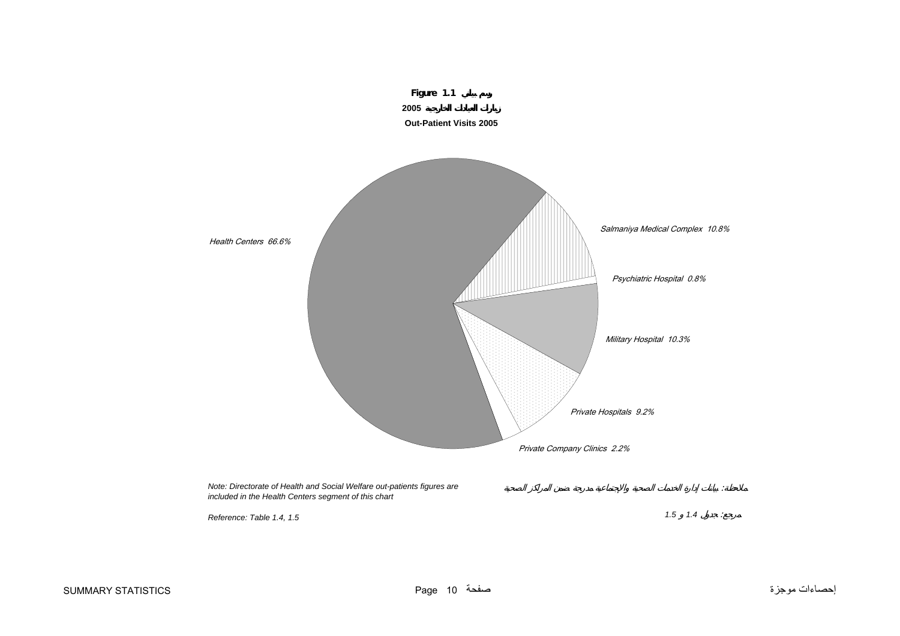<span id="page-9-0"></span>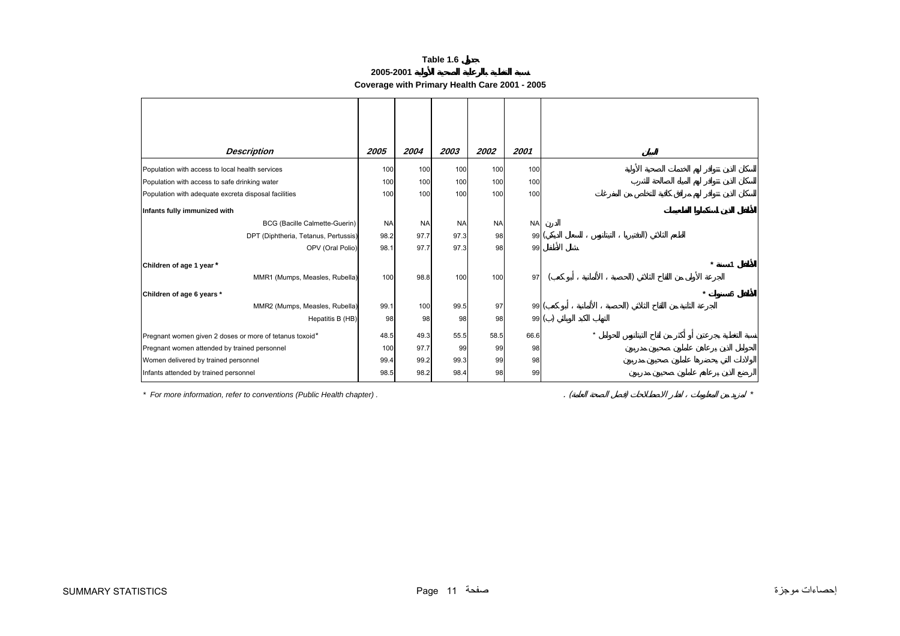**2005-2001** 

**Coverage with Primary Health Care 2001 - 2005**

<span id="page-10-0"></span>

| <b>Description</b>                                      | 2005      | 2004      | 2003      | 2002             | 2001      |         |
|---------------------------------------------------------|-----------|-----------|-----------|------------------|-----------|---------|
| Population with access to local health services         | 100       | 100       | 100       | 100              | 100       |         |
| Population with access to safe drinking water           | 100       | 100       | 100       | 100              | 100       |         |
| Population with adequate excreta disposal facilities    | 100       | 100       | 100       | 100 <sup>1</sup> | 100       |         |
| Infants fully immunized with                            |           |           |           |                  |           |         |
| <b>BCG (Bacille Calmette-Guerin)</b>                    | <b>NA</b> | <b>NA</b> | <b>NA</b> | <b>NA</b>        | <b>NA</b> |         |
| DPT (Diphtheria, Tetanus, Pertussis)                    | 98.2      | 97.7      | 97.3      | 98               | 99(       |         |
| OPV (Oral Polio)                                        | 98.1      | 97.7      | 97.3      | 98               | 99        |         |
| Children of age 1 year *                                |           |           |           |                  |           |         |
| MMR1 (Mumps, Measles, Rubella)                          | 100       | 98.8      | 100       | 100              | 97        |         |
| Children of age 6 years *                               |           |           |           |                  |           |         |
| MMR2 (Mumps, Measles, Rubella)                          | 99.1      | 100       | 99.5      | 97               | 99(       |         |
| Hepatitis B (HB)                                        | 98        | 98        | 98        | 98               |           | 99()    |
| Pregnant women given 2 doses or more of tetanus toxoid* | 48.5      | 49.3      | 55.5      | 58.5             | 66.6      | $\star$ |
| Pregnant women attended by trained personnel            | 100       | 97.7      | 99        | 99               | 98        |         |
| Women delivered by trained personnel                    | 99.4      | 99.2      | 99.3      | 99               | 98        |         |
| Infants attended by trained personnel                   | 98.5      | 98.2      | 98.4      | 98               | 99        |         |

*\* For more information, refer to conventions (Public Health chapter) .* . ( ) *\**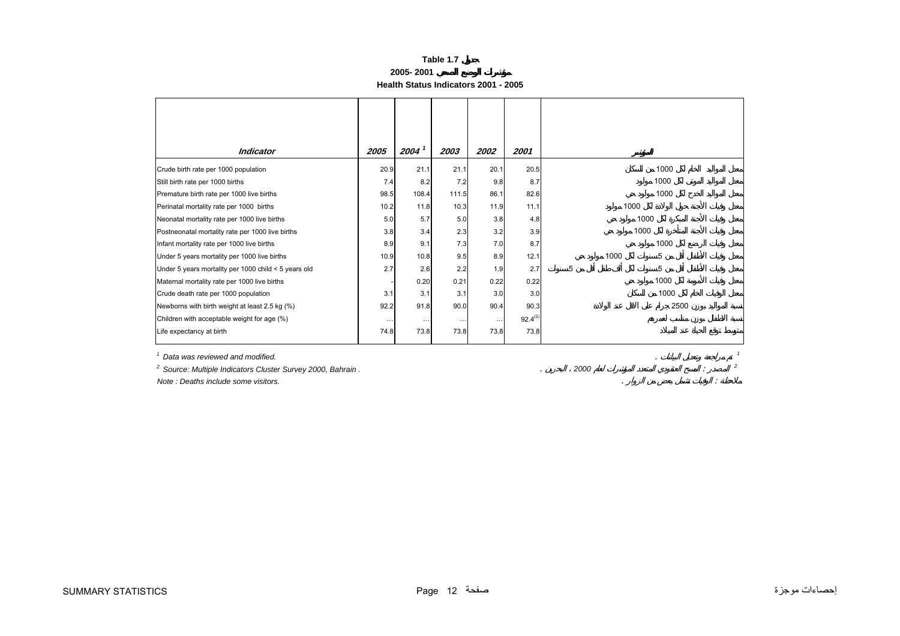## **2005- 2001**

**Health Status Indicators 2001 - 2005**

<span id="page-11-0"></span>

| 2003<br>21.1<br>7.2<br>111.5<br>10.3<br>5.0<br>2.3<br>7.3 | 2002<br>20.1<br>9.8<br>86.1<br>11.9<br>3.8<br>3.2<br>7.0 | 2001<br>20.5<br>8.7<br>82.6<br>11.1<br>4.8<br>3.9<br>8.7 |   | 1000 | 1000<br>1000<br>1000<br>1000<br>1000 |
|-----------------------------------------------------------|----------------------------------------------------------|----------------------------------------------------------|---|------|--------------------------------------|
|                                                           |                                                          |                                                          |   |      |                                      |
|                                                           |                                                          |                                                          |   |      |                                      |
|                                                           |                                                          |                                                          |   |      |                                      |
|                                                           |                                                          |                                                          |   |      |                                      |
|                                                           |                                                          |                                                          |   |      |                                      |
|                                                           |                                                          |                                                          |   |      |                                      |
|                                                           |                                                          |                                                          |   |      |                                      |
|                                                           |                                                          |                                                          |   |      |                                      |
|                                                           |                                                          |                                                          |   |      | 1000                                 |
| 9.5                                                       | 8.9                                                      | 12.1                                                     |   | 1000 | 5                                    |
| 2.2                                                       | 1.9                                                      | 2.7                                                      | 5 |      | 5                                    |
| 0.21                                                      | 0.22                                                     | 0.22                                                     |   |      | 1000                                 |
| 3.1                                                       | 3.0                                                      | 3.0                                                      |   |      | 1000                                 |
|                                                           | 90.4                                                     | 90.3                                                     |   |      | 2500                                 |
| $\cdots$                                                  | $\cdots$                                                 | $92.4^{(2)}$                                             |   |      |                                      |
|                                                           | 73.8                                                     | 73.8                                                     |   |      |                                      |
|                                                           | 90.0<br>73.8                                             |                                                          |   |      |                                      |

*2 Source: Multiple Indicators Cluster Survey 2000, Bahrain .* . *2000* : *<sup>2</sup>*

*Note : Deaths include some visitors.* . :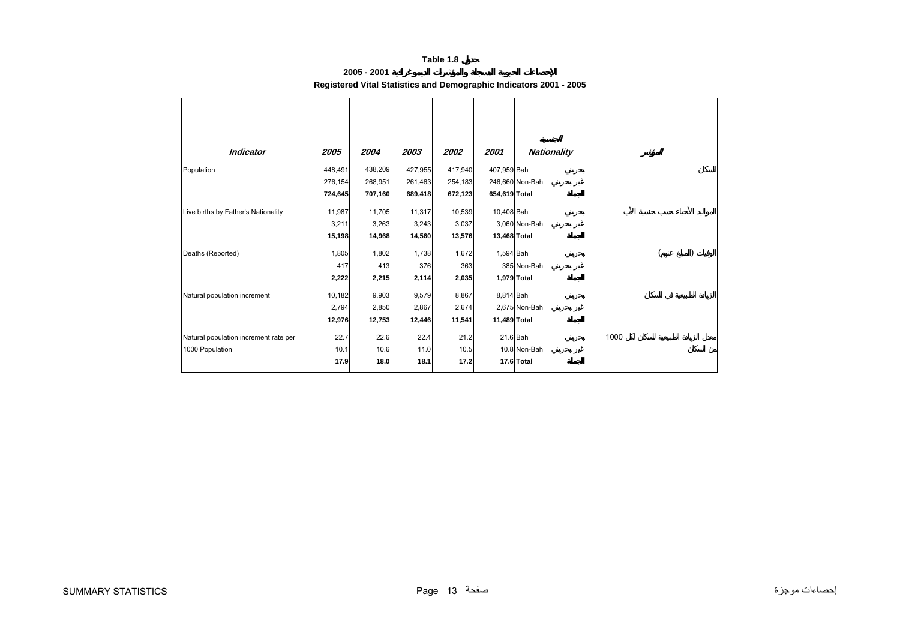**2005 - 2001** 

| Registered Vital Statistics and Demographic Indicators 2001 - 2005 |  |
|--------------------------------------------------------------------|--|
|                                                                    |  |

<span id="page-12-0"></span>

| <b>Indicator</b>                      | 2005    | 2004    | 2003    | 2002    | 2001          | <b>Nationality</b> |      |  |  |
|---------------------------------------|---------|---------|---------|---------|---------------|--------------------|------|--|--|
| Population                            | 448,491 | 438,209 | 427,955 | 417,940 | 407,959 Bah   |                    |      |  |  |
|                                       | 276,154 | 268,951 | 261,463 | 254,183 |               | 246,660 Non-Bah    |      |  |  |
|                                       | 724,645 | 707,160 | 689,418 | 672,123 | 654,619 Total |                    |      |  |  |
| Live births by Father's Nationality   | 11,987  | 11,705  | 11,317  | 10,539  | 10,408 Bah    |                    |      |  |  |
|                                       | 3,211   | 3,263   | 3,243   | 3,037   |               | 3,060 Non-Bah      |      |  |  |
|                                       | 15,198  | 14,968  | 14,560  | 13,576  | 13,468 Total  |                    |      |  |  |
| Deaths (Reported)                     | 1,805   | 1,802   | 1,738   | 1,672   | 1,594 Bah     |                    |      |  |  |
|                                       | 417     | 413     | 376     | 363     |               | 385 Non-Bah        |      |  |  |
|                                       | 2,222   | 2,215   | 2,114   | 2,035   |               | 1,979 Total        |      |  |  |
| Natural population increment          | 10,182  | 9,903   | 9,579   | 8,867   | 8,814 Bah     |                    |      |  |  |
|                                       | 2,794   | 2,850   | 2,867   | 2,674   |               | 2,675 Non-Bah      |      |  |  |
|                                       | 12,976  | 12,753  | 12,446  | 11,541  | 11,489 Total  |                    |      |  |  |
| Natural population increment rate per | 22.7    | 22.6    | 22.4    | 21.2    |               | 21.6 Bah           | 1000 |  |  |
| 1000 Population                       | 10.1    | 10.6    | 11.0    | 10.5    |               | 10.8 Non-Bah       |      |  |  |
|                                       | 17.9    | 18.0    | 18.1    | 17.2    |               | 17.6 Total         |      |  |  |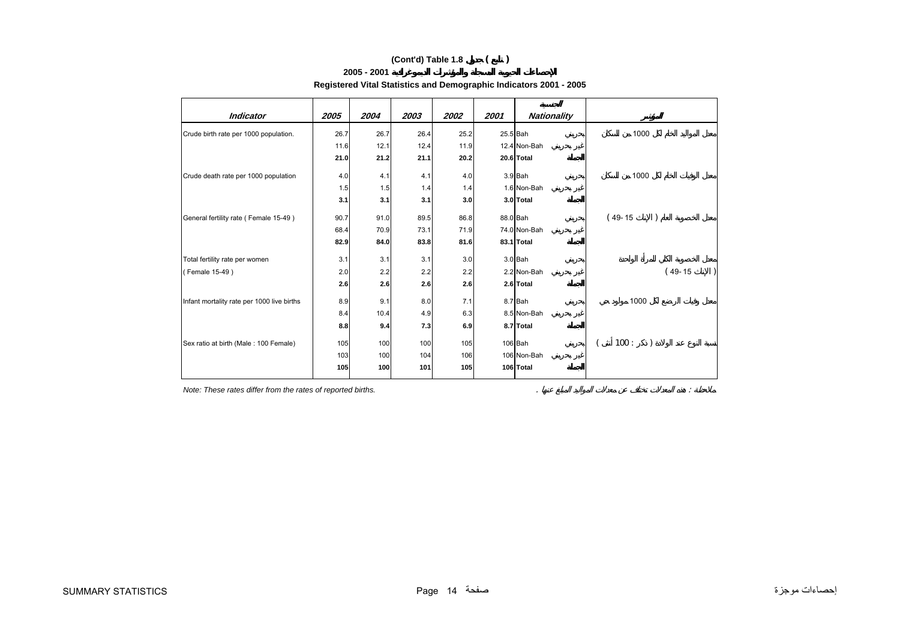## **(Cont'd) Table 1.8 ( )**

#### **2005 - 2001**

| Registered Vital Statistics and Demographic Indicators 2001 - 2005 |  |
|--------------------------------------------------------------------|--|
|                                                                    |  |

| <b>Indicator</b>                           | 2005 | 2004 | 2003 | 2002 | 2001     | <b>Nationality</b> |           |
|--------------------------------------------|------|------|------|------|----------|--------------------|-----------|
|                                            |      |      |      |      |          |                    |           |
| Crude birth rate per 1000 population.      | 26.7 | 26.7 | 26.4 | 25.2 | 25.5 Bah |                    | 1000      |
|                                            | 11.6 | 12.1 | 12.4 | 11.9 |          | 12.4 Non-Bah       |           |
|                                            | 21.0 | 21.2 | 21.1 | 20.2 |          | 20.6 Total         |           |
| Crude death rate per 1000 population       | 4.0  | 4.1  | 4.1  | 4.0  |          | 3.9 Bah            | 1000      |
|                                            | 1.5  | 1.5  | 1.4  | 1.4  |          | 1.6 Non-Bah        |           |
|                                            | 3.1  | 3.1  | 3.1  | 3.0  |          | 3.0 Total          |           |
| General fertility rate (Female 15-49)      | 90.7 | 91.0 | 89.5 | 86.8 | 88.0 Bah |                    | $(49-15)$ |
|                                            | 68.4 | 70.9 | 73.1 | 71.9 |          | 74.0 Non-Bah       |           |
|                                            | 82.9 | 84.0 | 83.8 | 81.6 |          | 83.1 Total         |           |
| Total fertility rate per women             | 3.1  | 3.1  | 3.1  | 3.0  |          | $3.0$ Bah          |           |
| (Female 15-49)                             | 2.0  | 2.2  | 2.2  | 2.2  |          | 2.2 Non-Bah        | $(49-15)$ |
|                                            | 2.6  | 2.6  | 2.6  | 2.6  |          | 2.6 Total          |           |
| Infant mortality rate per 1000 live births | 8.9  | 9.1  | 8.0  | 7.1  |          | 8.7 Bah            | 1000      |
|                                            | 8.4  | 10.4 | 4.9  | 6.3  |          | 8.5 Non-Bah        |           |
|                                            | 8.8  | 9.4  | 7.3  | 6.9  |          | 8.7 Total          |           |
| Sex ratio at birth (Male: 100 Female)      | 105  | 100  | 100  | 105  |          | 106 Bah            | 100:      |
|                                            | 103  | 100  | 104  | 106  |          | 106 Non-Bah        |           |
|                                            | 105  | 100  | 101  | 105  |          | 106 Total          |           |

*Note: These rates differ from the rates of reported births.* . :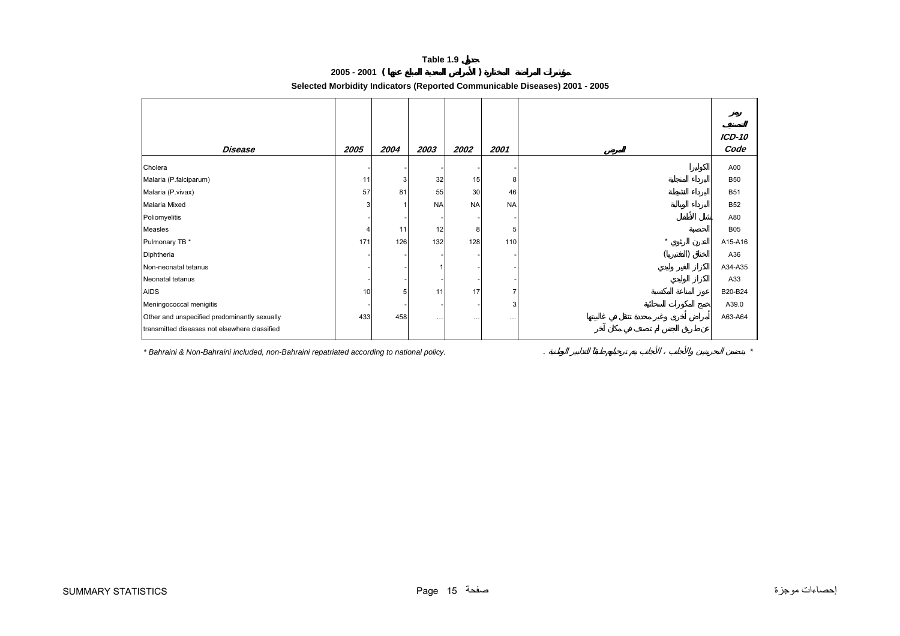**2005 - 2001 ( )** 

**Selected Morbidity Indicators (Reported Communicable Diseases) 2001 - 2005**

<span id="page-14-0"></span>

| Disease                                       | 2005 | 2004 | 2003      | 2002      | 2001      |         | <b>ICD-10</b><br>Code |
|-----------------------------------------------|------|------|-----------|-----------|-----------|---------|-----------------------|
| Cholera                                       |      |      |           |           |           |         | A00                   |
| Malaria (P.falciparum)                        | 11   | 3    | 32        | 15        | 8         |         | <b>B50</b>            |
| Malaria (P.vivax)                             | 57   | 81   | 55        | 30        | 46        |         | <b>B51</b>            |
| Malaria Mixed                                 | 3    |      | <b>NA</b> | <b>NA</b> | <b>NA</b> |         | <b>B52</b>            |
| Poliomyelitis                                 |      |      |           |           |           |         | A80                   |
| Measles                                       | 4    | 11   | 12        | 8         | 5         |         | <b>B05</b>            |
| Pulmonary TB *                                | 171  | 126  | 132       | 128       | 110       | $\star$ | A15-A16               |
| Diphtheria                                    |      |      |           |           |           |         | A36                   |
| Non-neonatal tetanus                          |      |      |           |           |           |         | A34-A35               |
| Neonatal tetanus                              |      |      |           |           |           |         | A33                   |
| <b>AIDS</b>                                   | 10   | 5    | 11        | 17        |           |         | B20-B24               |
| Meningococcal menigitis                       |      |      |           |           | 3         |         | A39.0                 |
| Other and unspecified predominantly sexually  | 433  | 458  | $\cdots$  | $\cdots$  | $\cdots$  |         | A63-A64               |
| transmitted diseases not elsewhere classified |      |      |           |           |           |         |                       |

*\* Bahraini & Non-Bahraini included, non-Bahraini repatriated according to national policy.* . *\**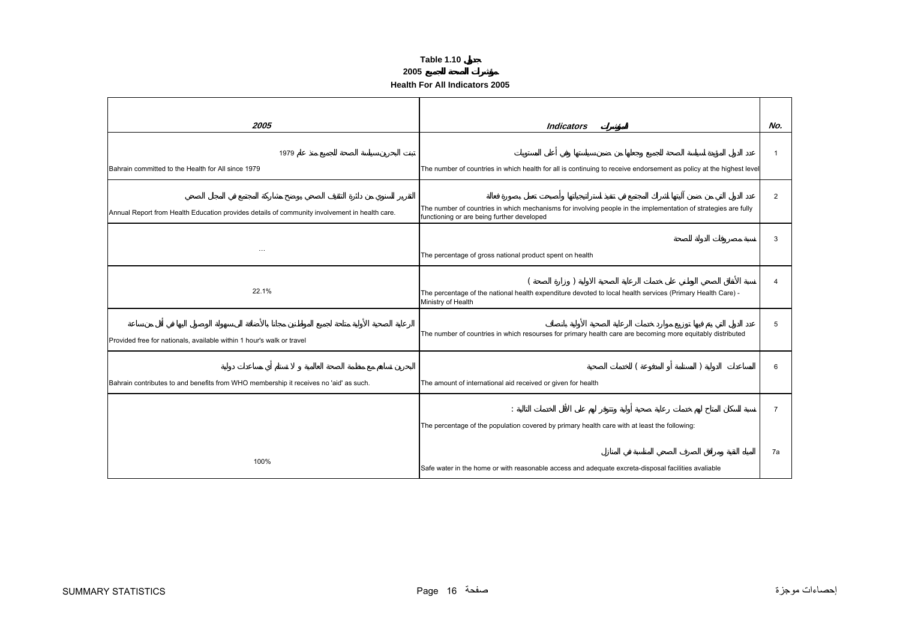### **2005**

**Health For All Indicators 2005**

<span id="page-15-0"></span>

| 2005                                                                                          | <b>Indicators</b>                                                                                                                                            | No.            |
|-----------------------------------------------------------------------------------------------|--------------------------------------------------------------------------------------------------------------------------------------------------------------|----------------|
| 1979                                                                                          |                                                                                                                                                              | -1             |
| Bahrain committed to the Health for All since 1979                                            | The number of countries in which health for all is continuing to receive endorsement as policy at the highest level                                          |                |
| Annual Report from Health Education provides details of community involvement in health care. | The number of countries in which mechanisms for involving people in the implementation of strategies are fully<br>functioning or are being further developed | $\overline{2}$ |
| $\cdots$                                                                                      | The percentage of gross national product spent on health                                                                                                     | 3              |
| 22.1%                                                                                         | The percentage of the national health expenditure devoted to local health services (Primary Health Care) -<br>Ministry of Health                             | 4              |
| Provided free for nationals, available within 1 hour's walk or travel                         | The number of countries in which resourses for primary health care are becoming more equitably distributed                                                   | 5              |
| Bahrain contributes to and benefits from WHO membership it receives no 'aid' as such.         | The amount of international aid received or given for health                                                                                                 | 6              |
|                                                                                               | The percentage of the population covered by primary health care with at least the following:                                                                 | $\overline{7}$ |
| 100%                                                                                          | Safe water in the home or with reasonable access and adequate excreta-disposal facilities avaliable                                                          | 7a             |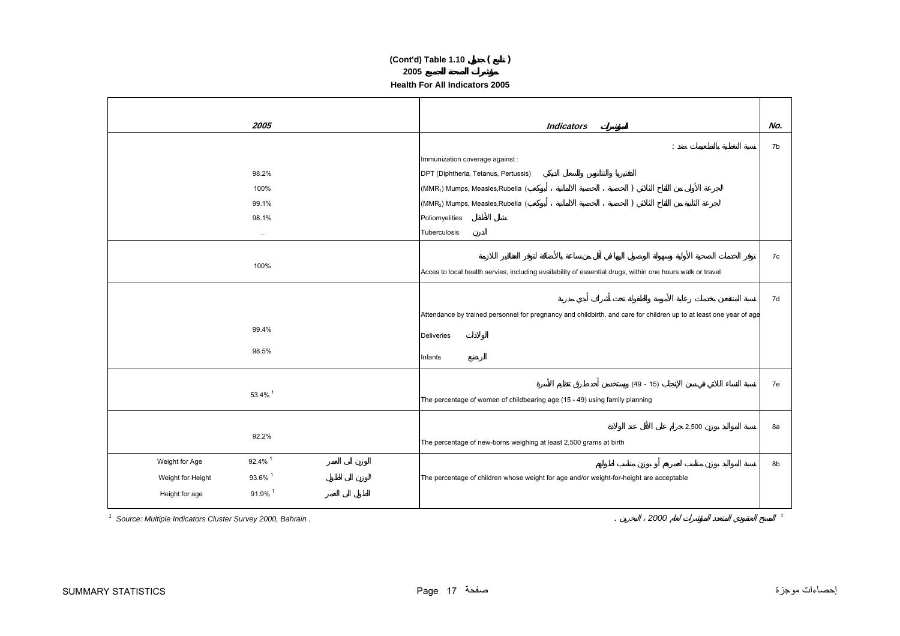## **(Cont'd) Table 1.10 ( ) 2005 Health For All Indicators 2005**

| 2005                                         | <b>Indicators</b>                                                                                                  | No. |
|----------------------------------------------|--------------------------------------------------------------------------------------------------------------------|-----|
|                                              | $\ddot{\phantom{a}}$                                                                                               | 7b  |
|                                              | Immunization coverage against :                                                                                    |     |
| 98.2%                                        | DPT (Diphtheria, Tetanus, Pertussis)                                                                               |     |
| 100%                                         | (MMR <sub>1</sub> ) Mumps, Measles, Rubella (                                                                      |     |
| 99.1%                                        | (MMR <sub>2</sub> ) Mumps, Measles, Rubella (                                                                      |     |
| 98.1%                                        | Poliomyelities                                                                                                     |     |
| $\cdots$                                     | Tuberculosis                                                                                                       |     |
|                                              |                                                                                                                    |     |
| 100%                                         |                                                                                                                    | 7c  |
|                                              | Acces to local health servies, including availability of essential drugs, within one hours walk or travel          |     |
|                                              |                                                                                                                    | 7d  |
|                                              | Attendance by trained personnel for pregnancy and childbirth, and care for children up to at least one year of age |     |
| 99.4%                                        | <b>Deliveries</b>                                                                                                  |     |
| 98.5%                                        |                                                                                                                    |     |
|                                              | Infants                                                                                                            |     |
|                                              | $(49 - 15)$                                                                                                        | 7e  |
| 53.4% 1                                      | The percentage of women of childbearing age (15 - 49) using family planning                                        |     |
|                                              |                                                                                                                    |     |
|                                              | 2,500                                                                                                              | 8а  |
| 92.2%                                        | The percentage of new-borns weighing at least 2,500 grams at birth                                                 |     |
| 92.4% 1<br>Weight for Age                    |                                                                                                                    | 8b  |
| 93.6% 1<br>Weight for Height<br>$\mathbf{I}$ | The percentage of children whose weight for age and/or weight-for-height are acceptable                            |     |
| 91.9% 1<br>Height for age                    |                                                                                                                    |     |
|                                              |                                                                                                                    |     |

*1 Source: Multiple Indicators Cluster Survey 2000, Bahrain .* . *<sup>2000</sup> <sup>1</sup>*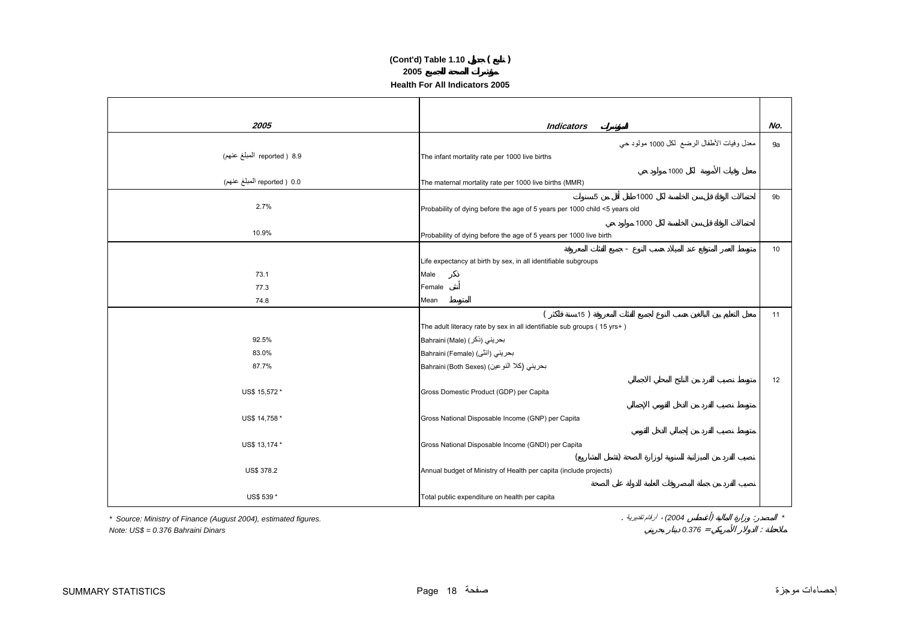## **Health For All Indicators 2005(Cont'd) Table 1.10 ( ) 2005**

| 2005                        | <b>Indicators</b>                                                          | No. |
|-----------------------------|----------------------------------------------------------------------------|-----|
|                             | معدل وفيات الأطفال الرضع لكل 1000 مولود حي                                 | 9a  |
| 8.9 ( reported المبلغ عنهم) | The infant mortality rate per 1000 live births                             |     |
|                             | 1000                                                                       |     |
| 0.0 ( reported المبلغ عنهم) | The maternal mortality rate per 1000 live births (MMR)                     |     |
|                             | 5<br>1000                                                                  | 9b  |
| 2.7%                        | Probability of dying before the age of 5 years per 1000 child <5 years old |     |
|                             | 1000                                                                       |     |
| 10.9%                       | Probability of dying before the age of 5 years per 1000 live birth         |     |
|                             | $\equiv$                                                                   | 10  |
|                             | Life expectancy at birth by sex, in all identifiable subgroups             |     |
| 73.1                        | Male                                                                       |     |
| 77.3                        | Female                                                                     |     |
| 74.8                        | Mean                                                                       |     |
|                             | 15)                                                                        | 11  |
|                             | The adult literacy rate by sex in all identifiable sub groups (15 yrs+)    |     |
| 92.5%                       | بحريني (ذكر) Bahraini (Male)                                               |     |
| 83.0%                       | Bahraini (Female) (انٹی)                                                   |     |
| 87.7%                       | بحريني (كلا النو عين) (Bahraini (Both Sexes                                |     |
|                             |                                                                            | 12  |
| US\$ 15,572 *               | Gross Domestic Product (GDP) per Capita                                    |     |
|                             |                                                                            |     |
| US\$ 14,758 *               | Gross National Disposable Income (GNP) per Capita                          |     |
|                             |                                                                            |     |
| US\$ 13,174 *               | Gross National Disposable Income (GNDI) per Capita                         |     |
|                             |                                                                            |     |
| US\$ 378.2                  | Annual budget of Ministry of Health per capita (include projects)          |     |
|                             |                                                                            |     |
| US\$ 539 *                  | Total public expenditure on health per capita                              |     |

*\* Source: Ministry of Finance (August 2004), estimated figures.* . تقديرية أرقام ،*) 2004* ( :*\**

*Note: US\$ = 0.376 Bahraini Dinars 0.376* = :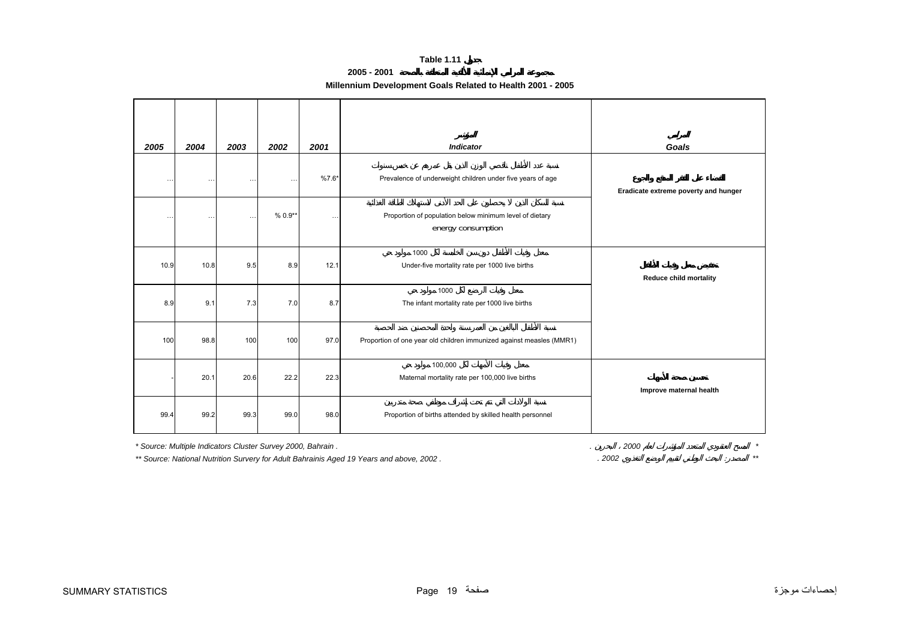## **2005 - 2001**

<span id="page-18-0"></span>

| 2005      | 2004                                                        | 2003     | 2002      | 2001     | <b>Indicator</b>                                                              | Goals                                |
|-----------|-------------------------------------------------------------|----------|-----------|----------|-------------------------------------------------------------------------------|--------------------------------------|
| $\ddotsc$ | $\cdots$                                                    | $\cdots$ | $\ddotsc$ | $%7.6*$  | Prevalence of underweight children under five years of age                    | Eradicate extreme poverty and hunger |
| $\ldots$  | $\cdots$                                                    | $\cdots$ | $% 0.9**$ | $\ldots$ | Proportion of population below minimum level of dietary<br>energy consumption |                                      |
| 10.9      | 10.8                                                        | 9.5      | 8.9       | 12.1     | 1000<br>Under-five mortality rate per 1000 live births                        | <b>Reduce child mortality</b>        |
| 8.9       | 9.1                                                         | 7.3      | 7.0       | 8.7      | 1000<br>The infant mortality rate per 1000 live births                        |                                      |
| 100       | 98.8                                                        | 100      | 100       | 97.0     | Proportion of one year old children immunized against measles (MMR1)          |                                      |
|           | 20.1                                                        | 20.6     | 22.2      | 22.3     | 100,000<br>Maternal mortality rate per 100,000 live births                    | Improve maternal health              |
| 99.4      | 99.2                                                        | 99.3     | 99.0      | 98.0     | Proportion of births attended by skilled health personnel                     |                                      |
|           | * Source: Multiple Indicators Cluster Survey 2000, Bahrain. |          |           |          |                                                                               | 2000<br>$\star$                      |

*\*\* Source: National Nutrition Survery for Adult Bahrainis Aged 19 Years and above, 2002 .* . *2002* : *\*\**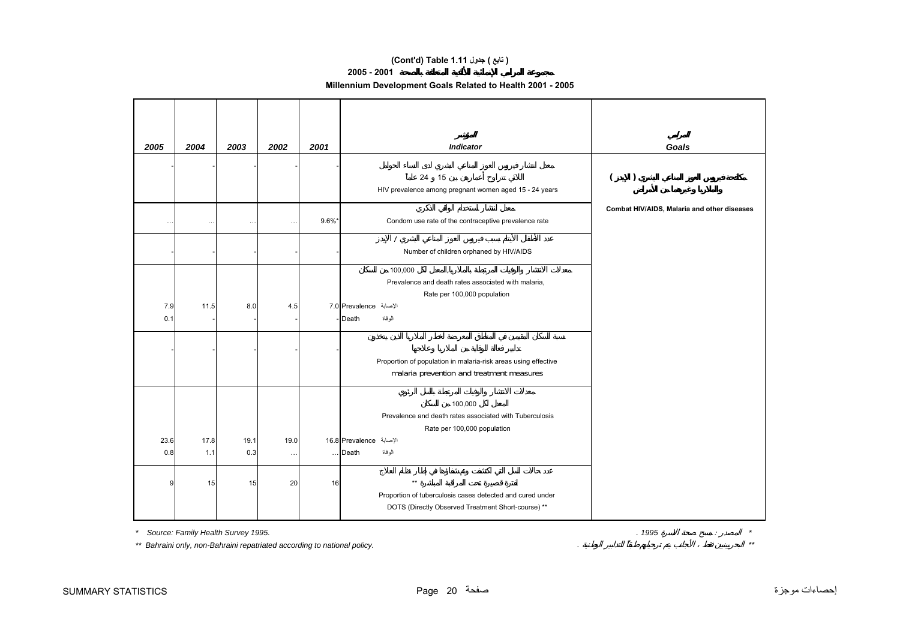## **(Cont'd) Table 1.11 جدول ) تابع(**

### **2005 - 2001**

## **Millennium Development Goals Related to Health 2001 - 2005**

| 2005      | 2004     | 2003     | 2002     | 2001      | <b>Indicator</b>                                                                                                | Goals                                       |
|-----------|----------|----------|----------|-----------|-----------------------------------------------------------------------------------------------------------------|---------------------------------------------|
|           |          |          |          |           |                                                                                                                 |                                             |
|           |          |          |          |           | 24 15                                                                                                           | $\overline{(\cdot)}$<br>$\mathcal{L}$       |
|           |          |          |          |           | HIV prevalence among pregnant women aged 15 - 24 years                                                          |                                             |
|           |          |          |          |           |                                                                                                                 | Combat HIV/AIDS, Malaria and other diseases |
| $\ddotsc$ | $\cdots$ | $\cdots$ | $\ldots$ | $9.6\%$ * | Condom use rate of the contraceptive prevalence rate                                                            |                                             |
|           |          |          |          |           |                                                                                                                 |                                             |
|           |          |          |          |           | Number of children orphaned by HIV/AIDS                                                                         |                                             |
|           |          |          |          |           | 100,000<br>$\mathcal{L}$                                                                                        |                                             |
|           |          |          |          |           | Prevalence and death rates associated with malaria,                                                             |                                             |
| 7.9       | 11.5     | 8.0      | 4.5      |           | Rate per 100,000 population<br>الإصابة Prevalence 1.0                                                           |                                             |
| 0.1       |          |          |          |           | الموفاة<br>Death                                                                                                |                                             |
|           |          |          |          |           |                                                                                                                 |                                             |
|           |          |          |          |           |                                                                                                                 |                                             |
|           |          |          |          |           | Proportion of population in malaria-risk areas using effective                                                  |                                             |
|           |          |          |          |           | malaria prevention and treatment measures                                                                       |                                             |
|           |          |          |          |           |                                                                                                                 |                                             |
|           |          |          |          |           | 100,000<br>Prevalence and death rates associated with Tuberculosis                                              |                                             |
|           |          |          |          |           | Rate per 100,000 population                                                                                     |                                             |
| 23.6      | 17.8     | 19.1     | 19.0     |           | الإصابة Prevalence الإصابة                                                                                      |                                             |
| 0.8       | 1.1      | 0.3      | $\cdots$ | $\cdots$  | الوفاة<br>Death                                                                                                 |                                             |
|           |          |          |          |           |                                                                                                                 |                                             |
| 9         | 15       | 15       | 20       | 16        | $\star\star$                                                                                                    |                                             |
|           |          |          |          |           | Proportion of tuberculosis cases detected and cured under<br>DOTS (Directly Observed Treatment Short-course) ** |                                             |
|           |          |          |          |           |                                                                                                                 |                                             |

*\* Source: Family Health Survey 1995.* . *1995* : *\**

*\*\* Bahraini only, non-Bahraini repatriated according to national policy.* . *\*\**